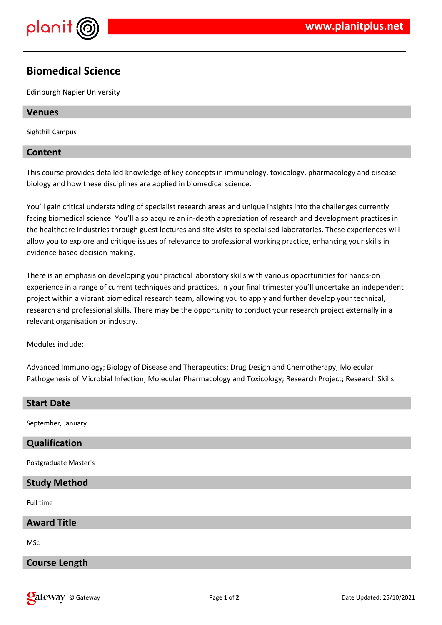

# **Biomedical Science**

Edinburgh Napier University

### **Venues**

Sighthill Campus

### **Content**

This course provides detailed knowledge of key concepts in immunology, toxicology, pharmacology and disease biology and how these disciplines are applied in biomedical science.

You'll gain critical understanding of specialist research areas and unique insights into the challenges currently facing biomedical science. You'll also acquire an in-depth appreciation of research and development practices in the healthcare industries through guest lectures and site visits to specialised laboratories. These experiences will allow you to explore and critique issues of relevance to professional working practice, enhancing your skills in evidence based decision making.

There is an emphasis on developing your practical laboratory skills with various opportunities for hands-on experience in a range of current techniques and practices. In your final trimester you'll undertake an independent project within a vibrant biomedical research team, allowing you to apply and further develop your technical, research and professional skills. There may be the opportunity to conduct your research project externally in a relevant organisation or industry.

Modules include:

Advanced Immunology; Biology of Disease and Therapeutics; Drug Design and Chemotherapy; Molecular Pathogenesis of Microbial Infection; Molecular Pharmacology and Toxicology; Research Project; Research Skills.

| <b>Start Date</b>     |
|-----------------------|
| September, January    |
| Qualification         |
| Postgraduate Master's |
| <b>Study Method</b>   |
| Full time             |
| <b>Award Title</b>    |
| <b>MSc</b>            |
| <b>Course Length</b>  |
|                       |